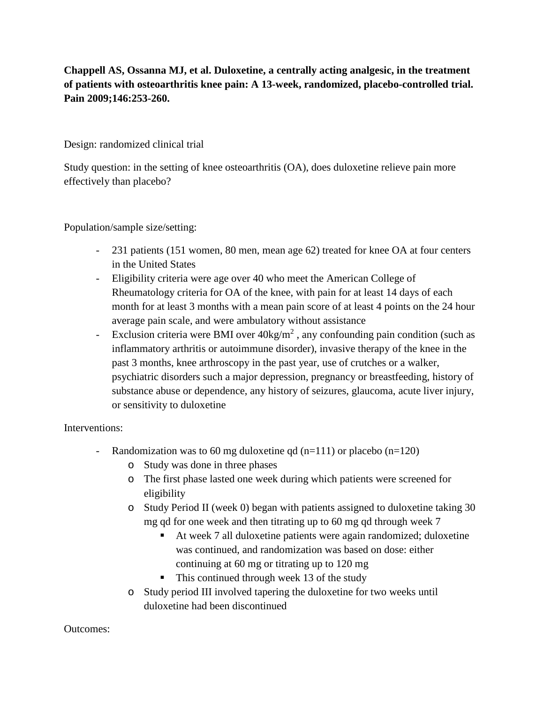## **Chappell AS, Ossanna MJ, et al. Duloxetine, a centrally acting analgesic, in the treatment of patients with osteoarthritis knee pain: A 13-week, randomized, placebo-controlled trial. Pain 2009;146:253-260.**

Design: randomized clinical trial

Study question: in the setting of knee osteoarthritis (OA), does duloxetine relieve pain more effectively than placebo?

Population/sample size/setting:

- 231 patients (151 women, 80 men, mean age 62) treated for knee OA at four centers in the United States
- Eligibility criteria were age over 40 who meet the American College of Rheumatology criteria for OA of the knee, with pain for at least 14 days of each month for at least 3 months with a mean pain score of at least 4 points on the 24 hour average pain scale, and were ambulatory without assistance
- Exclusion criteria were BMI over  $40 \text{kg/m}^2$ , any confounding pain condition (such as inflammatory arthritis or autoimmune disorder), invasive therapy of the knee in the past 3 months, knee arthroscopy in the past year, use of crutches or a walker, psychiatric disorders such a major depression, pregnancy or breastfeeding, history of substance abuse or dependence, any history of seizures, glaucoma, acute liver injury, or sensitivity to duloxetine

Interventions:

- Randomization was to 60 mg duloxetine qd  $(n=111)$  or placebo  $(n=120)$ 
	- o Study was done in three phases
	- o The first phase lasted one week during which patients were screened for eligibility
	- o Study Period II (week 0) began with patients assigned to duloxetine taking 30 mg qd for one week and then titrating up to 60 mg qd through week 7
		- At week 7 all duloxetine patients were again randomized; duloxetine was continued, and randomization was based on dose: either continuing at 60 mg or titrating up to 120 mg
		- $\blacksquare$  This continued through week 13 of the study
	- o Study period III involved tapering the duloxetine for two weeks until duloxetine had been discontinued

## Outcomes: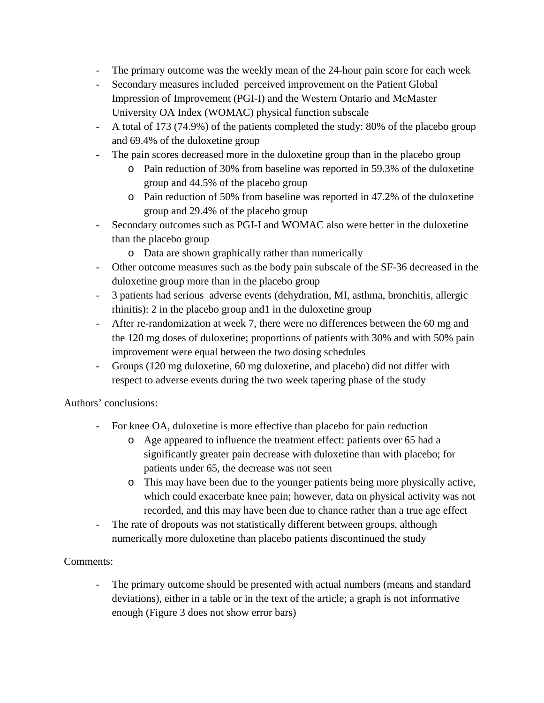- The primary outcome was the weekly mean of the 24-hour pain score for each week
- Secondary measures included perceived improvement on the Patient Global Impression of Improvement (PGI-I) and the Western Ontario and McMaster University OA Index (WOMAC) physical function subscale
- A total of 173 (74.9%) of the patients completed the study: 80% of the placebo group and 69.4% of the duloxetine group
- The pain scores decreased more in the duloxetine group than in the placebo group
	- o Pain reduction of 30% from baseline was reported in 59.3% of the duloxetine group and 44.5% of the placebo group
	- o Pain reduction of 50% from baseline was reported in 47.2% of the duloxetine group and 29.4% of the placebo group
- Secondary outcomes such as PGI-I and WOMAC also were better in the duloxetine than the placebo group
	- o Data are shown graphically rather than numerically
- Other outcome measures such as the body pain subscale of the SF-36 decreased in the duloxetine group more than in the placebo group
- 3 patients had serious adverse events (dehydration, MI, asthma, bronchitis, allergic rhinitis): 2 in the placebo group and1 in the duloxetine group
- After re-randomization at week 7, there were no differences between the 60 mg and the 120 mg doses of duloxetine; proportions of patients with 30% and with 50% pain improvement were equal between the two dosing schedules
- Groups (120 mg duloxetine, 60 mg duloxetine, and placebo) did not differ with respect to adverse events during the two week tapering phase of the study

Authors' conclusions:

- For knee OA, duloxetine is more effective than placebo for pain reduction
	- o Age appeared to influence the treatment effect: patients over 65 had a significantly greater pain decrease with duloxetine than with placebo; for patients under 65, the decrease was not seen
	- o This may have been due to the younger patients being more physically active, which could exacerbate knee pain; however, data on physical activity was not recorded, and this may have been due to chance rather than a true age effect
- The rate of dropouts was not statistically different between groups, although numerically more duloxetine than placebo patients discontinued the study

## Comments:

- The primary outcome should be presented with actual numbers (means and standard deviations), either in a table or in the text of the article; a graph is not informative enough (Figure 3 does not show error bars)